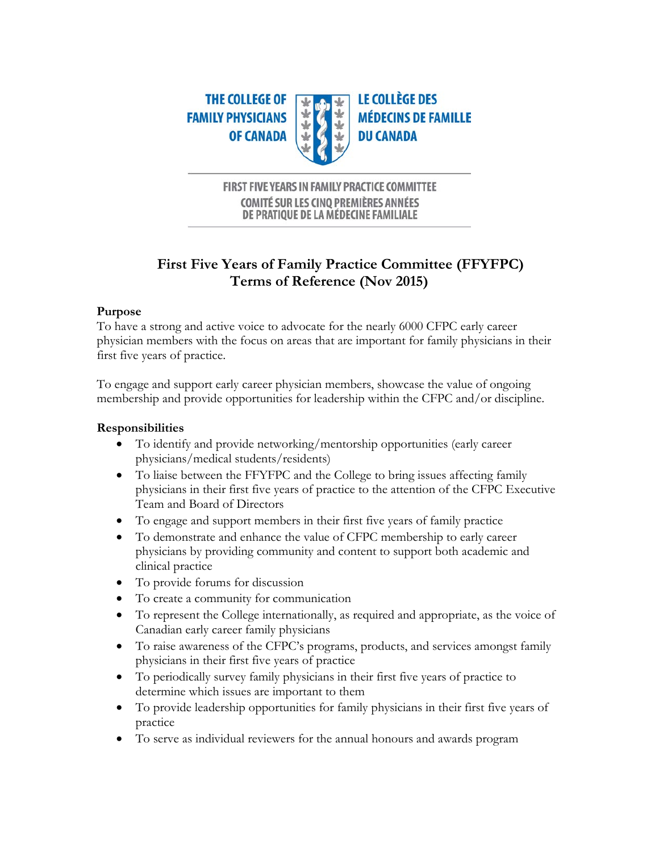

# FIRST FIVE YEARS IN FAMILY PRACTICE COMMITTEE **COMITÉ SUR LES CINO PREMIÈRES ANNÉES** DE PRATIQUE DE LA MÉDECINE FAMILIALE

# **First Five Years of Family Practice Committee (FFYFPC) Terms of Reference (Nov 2015)**

# **Purpose**

To have a strong and active voice to advocate for the nearly 6000 CFPC early career physician members with the focus on areas that are important for family physicians in their first five years of practice.

To engage and support early career physician members, showcase the value of ongoing membership and provide opportunities for leadership within the CFPC and/or discipline.

# **Responsibilities**

- To identify and provide networking/mentorship opportunities (early career physicians/medical students/residents)
- To liaise between the FFYFPC and the College to bring issues affecting family physicians in their first five years of practice to the attention of the CFPC Executive Team and Board of Directors
- To engage and support members in their first five years of family practice
- To demonstrate and enhance the value of CFPC membership to early career physicians by providing community and content to support both academic and clinical practice
- To provide forums for discussion
- To create a community for communication
- To represent the College internationally, as required and appropriate, as the voice of Canadian early career family physicians
- To raise awareness of the CFPC's programs, products, and services amongst family physicians in their first five years of practice
- To periodically survey family physicians in their first five years of practice to determine which issues are important to them
- To provide leadership opportunities for family physicians in their first five years of practice
- To serve as individual reviewers for the annual honours and awards program